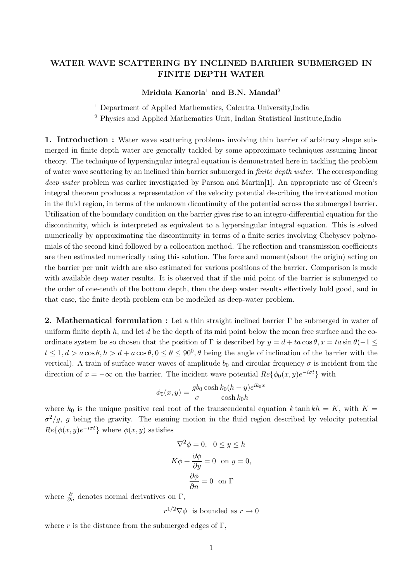## **WATER WAVE SCATTERING BY INCLINED BARRIER SUBMERGED IN FINITE DEPTH WATER**

## **Mridula Kanoria**1 **and B.N. Mandal**2

<sup>1</sup> Department of Applied Mathematics, Calcutta University,India

<sup>2</sup> Physics and Applied Mathematics Unit, Indian Statistical Institute,India

**1. Introduction :** Water wave scattering problems involving thin barrier of arbitrary shape submerged in finite depth water are generally tackled by some approximate techniques assuming linear theory. The technique of hypersingular integral equation is demonstrated here in tackling the problem of water wave scattering by an inclined thin barrier submerged in *finite depth water*. The corresponding *deep water* problem was earlier investigated by Parson and Martin<sup>[1]</sup>. An appropriate use of Green's integral theorem produces a representation of the velocity potential describing the irrotational motion in the fluid region, in terms of the unknown dicontinuity of the potential across the submerged barrier. Utilization of the boundary condition on the barrier gives rise to an integro-differential equation for the discontinuity, which is interpreted as equivalent to a hypersingular integral equation. This is solved numerically by approximating the discontinuity in terms of a finite series involving Chebysev polynomials of the second kind followed by a collocation method. The reflection and transmission coefficients are then estimated numerically using this solution. The force and moment(about the origin) acting on the barrier per unit width are also estimated for various positions of the barrier. Comparison is made with available deep water results. It is observed that if the mid point of the barrier is submerged to the order of one-tenth of the bottom depth, then the deep water results effectively hold good, and in that case, the finite depth problem can be modelled as deep-water problem.

**2. Mathematical formulation :** Let a thin straight inclined barrier Γ be submerged in water of uniform finite depth  $h$ , and let  $d$  be the depth of its mid point below the mean free surface and the coordinate system be so chosen that the position of Γ is described by  $y = d + ta \cos \theta$ ,  $x = ta \sin \theta (-1 \le$  $t \leq 1, d > a \cos \theta, h > d + a \cos \theta, 0 \leq \theta \leq 90^0, \theta$  being the angle of inclination of the barrier with the vertical). A train of surface water waves of amplitude  $b_0$  and circular frequency  $\sigma$  is incident from the direction of  $x = -\infty$  on the barrier. The incident wave potential  $Re{\{\phi_0(x, y)e^{-i\sigma t}\}}$  with

$$
\phi_0(x, y) = \frac{gb_0 \cosh k_0 (h - y) e^{ik_0 x}}{\cosh k_0 h}
$$

where  $k_0$  is the unique positive real root of the transcendental equation k tanh kh = K, with K =  $\sigma^2/g$ , g being the gravity. The ensuing motion in the fluid region described by velocity potential  $Re\{\phi(x,y)e^{-i\sigma t}\}\$  where  $\phi(x,y)$  satisfies

$$
\nabla^2 \phi = 0, \quad 0 \le y \le h
$$

$$
K\phi + \frac{\partial \phi}{\partial y} = 0 \quad \text{on } y = 0,
$$

$$
\frac{\partial \phi}{\partial n} = 0 \quad \text{on } \Gamma
$$

where  $\frac{\partial}{\partial n}$  denotes normal derivatives on  $\Gamma$ ,

 $r^{1/2}\nabla\phi$  is bounded as  $r\to 0$ 

where r is the distance from the submerged edges of  $\Gamma$ ,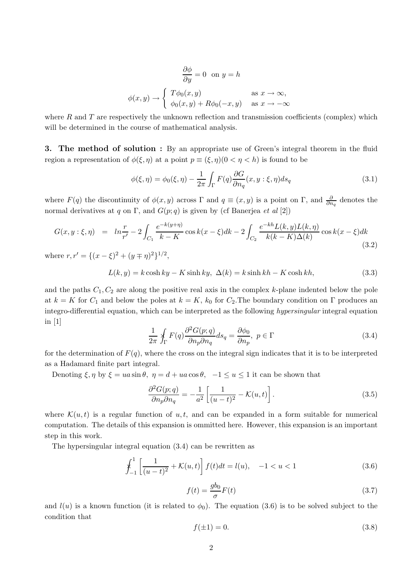$$
\frac{\partial \phi}{\partial y} = 0 \text{ on } y = h
$$
  

$$
\phi(x, y) \rightarrow \begin{cases} T\phi_0(x, y) & \text{as } x \rightarrow \infty, \\ \phi_0(x, y) + R\phi_0(-x, y) & \text{as } x \rightarrow -\infty \end{cases}
$$

where R and T are respectively the unknown reflection and transmission coefficients (complex) which will be determined in the course of mathematical analysis.

**3. The method of solution :** By an appropriate use of Green's integral theorem in the fluid region a representation of  $\phi(\xi,\eta)$  at a point  $p \equiv (\xi,\eta)(0 \leq \eta \leq h)$  is found to be

$$
\phi(\xi,\eta) = \phi_0(\xi,\eta) - \frac{1}{2\pi} \int_{\Gamma} F(q) \frac{\partial G}{\partial n_q}(x,y:\xi,\eta) ds_q \tag{3.1}
$$

where  $F(q)$  the discontinuity of  $\phi(x, y)$  across  $\Gamma$  and  $q \equiv (x, y)$  is a point on  $\Gamma$ , and  $\frac{\partial}{\partial n_q}$  denotes the normal derivatives at q on Γ, and  $G(p; q)$  is given by (cf Banerjea *et al* [2])

$$
G(x, y : \xi, \eta) = \ln \frac{r}{r'} - 2 \int_{C_1} \frac{e^{-k(y+\eta)}}{k - K} \cos k(x - \xi) dk - 2 \int_{C_2} \frac{e^{-kh} L(k, y) L(k, \eta)}{k(k - K) \Delta(k)} \cos k(x - \xi) dk
$$
\n(3.2)

where  $r, r' = \{(x - \xi)^2 + (y \mp \eta)^2\}^{1/2}$ ,

$$
L(k, y) = k \cosh ky - K \sinh ky, \ \Delta(k) = k \sinh kh - K \cosh kh,
$$
\n(3.3)

and the paths  $C_1, C_2$  are along the positive real axis in the complex k-plane indented below the pole at  $k = K$  for  $C_1$  and below the poles at  $k = K$ ,  $k_0$  for  $C_2$ . The boundary condition on Γ produces an integro-differential equation, which can be interpreted as the following *hypersingular* integral equation in [1]

$$
\frac{1}{2\pi} \oint_{\Gamma} F(q) \frac{\partial^2 G(p;q)}{\partial n_p \partial n_q} ds_q = \frac{\partial \phi_0}{\partial n_p}, \ p \in \Gamma
$$
\n(3.4)

for the determination of  $F(q)$ , where the cross on the integral sign indicates that it is to be interpreted as a Hadamard finite part integral.

Denoting  $\xi, \eta$  by  $\xi = ua \sin \theta$ ,  $\eta = d + ua \cos \theta$ ,  $-1 \le u \le 1$  it can be shown that

$$
\frac{\partial^2 G(p;q)}{\partial n_p \partial n_q} = -\frac{1}{a^2} \left[ \frac{1}{(u-t)^2} - \mathcal{K}(u,t) \right]. \tag{3.5}
$$

where  $\mathcal{K}(u, t)$  is a regular function of u, t, and can be expanded in a form suitable for numerical computation. The details of this expansion is ommitted here. However, this expansion is an important step in this work.

The hypersingular integral equation (3.4) can be rewritten as

$$
\oint_{-1}^{1} \left[ \frac{1}{(u-t)^2} + \mathcal{K}(u,t) \right] f(t)dt = l(u), \quad -1 < u < 1
$$
\n(3.6)

$$
f(t) = \frac{gb_0}{\sigma}F(t)
$$
\n(3.7)

and  $l(u)$  is a known function (it is related to  $\phi_0$ ). The equation (3.6) is to be solved subject to the condition that

$$
f(\pm 1) = 0.\tag{3.8}
$$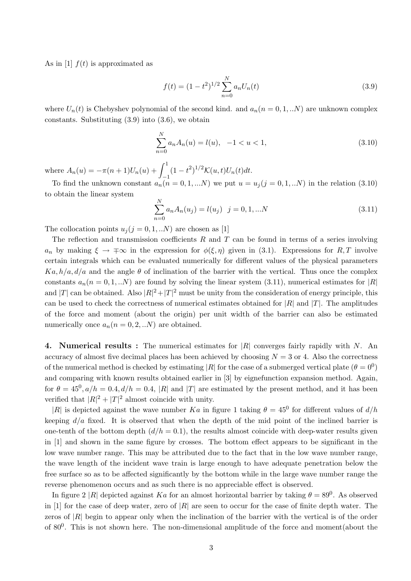As in [1]  $f(t)$  is approximated as

$$
f(t) = (1 - t^2)^{1/2} \sum_{n=0}^{N} a_n U_n(t)
$$
\n(3.9)

where  $U_n(t)$  is Chebyshev polynomial of the second kind. and  $a_n(n = 0, 1, ...N)$  are unknown complex constants. Substituting  $(3.9)$  into  $(3.6)$ , we obtain

$$
\sum_{n=0}^{N} a_n A_n(u) = l(u), \quad -1 < u < 1,\tag{3.10}
$$

where  $A_n(u) = -\pi(n+1)U_n(u) + \int_0^1$  $(1-t^2)^{1/2} \mathcal{K}(u,t) U_n(t) dt.$ 

To find the unknown constant  $a_n(n = 0, 1, ...N)$  we put  $u = u_j(j = 0, 1, ...N)$  in the relation (3.10) to obtain the linear system

$$
\sum_{n=0}^{N} a_n A_n(u_j) = l(u_j) \quad j = 0, 1, \dots N
$$
\n(3.11)

The collocation points  $u_j (j = 0, 1, ... N)$  are chosen as [1]

The reflection and transmission coefficients  $R$  and  $T$  can be found in terms of a series involving a<sub>n</sub> by making  $\xi \to \pm \infty$  in the expression for  $\phi(\xi, \eta)$  given in (3.1). Expressions for R, T involve certain integrals which can be evaluated numerically for different values of the physical parameters  $Ka, h/a, d/a$  and the angle  $\theta$  of inclination of the barrier with the vertical. Thus once the complex constants  $a_n(n = 0, 1, ...N)$  are found by solving the linear system (3.11), numerical estimates for |R| and |T| can be obtained. Also  $|R|^2 + |T|^2$  must be unity from the consideration of energy principle, this can be used to check the correctness of numerical estimates obtained for  $|R|$  and  $|T|$ . The amplitudes of the force and moment (about the origin) per unit width of the barrier can also be estimated numerically once  $a_n(n = 0, 2, ...N)$  are obtained.

**4. Numerical results :** The numerical estimates for |R| converges fairly rapidly with N. An accuracy of almost five decimal places has been achieved by choosing  $N = 3$  or 4. Also the correctness of the numerical method is checked by estimating |R| for the case of a submerged vertical plate ( $\theta = 0^0$ ) and comparing with known results obtained earlier in [3] by eignefunction expansion method. Again, for  $\theta = 45^0, a/h = 0.4, d/h = 0.4, |R|$  and |T| are estimated by the present method, and it has been verified that  $|R|^2 + |T|^2$  almost coincide with unity.

|R| is depicted against the wave number Ka in figure 1 taking  $\theta = 45^{\circ}$  for different values of  $d/h$ keeping  $d/a$  fixed. It is observed that when the depth of the mid point of the inclined barrier is one-tenth of the bottom depth  $(d/h = 0.1)$ , the results almost coincide with deep-water results given in [1] and shown in the same figure by crosses. The bottom effect appears to be significant in the low wave number range. This may be attributed due to the fact that in the low wave number range, the wave length of the incident wave train is large enough to have adequate penetration below the free surface so as to be affected significantly by the bottom while in the large wave number range the reverse phenomenon occurs and as such there is no appreciable effect is observed.

In figure 2 |R| depicted against Ka for an almost horizontal barrier by taking  $\theta = 89^\circ$ . As observed in [1] for the case of deep water, zero of  $|R|$  are seen to occur for the case of finite depth water. The zeros of  $|R|$  begin to appear only when the inclination of the barrier with the vertical is of the order of  $80^0$ . This is not shown here. The non-dimensional amplitude of the force and moment(about the